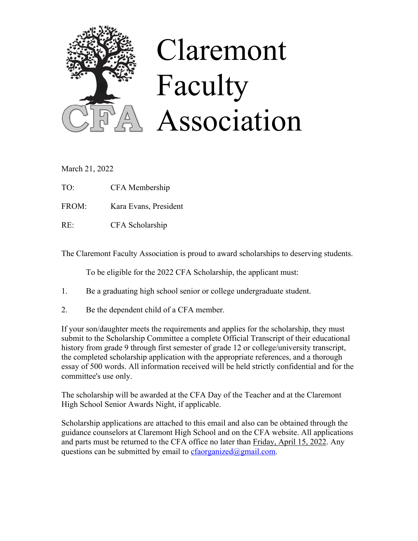

# Claremont Faculty Association

March 21, 2022

TO: CFA Membership

FROM: Kara Evans, President

RE: CFA Scholarship

The Claremont Faculty Association is proud to award scholarships to deserving students.

To be eligible for the 2022 CFA Scholarship, the applicant must:

- 1. Be a graduating high school senior or college undergraduate student.
- 2. Be the dependent child of a CFA member.

If your son/daughter meets the requirements and applies for the scholarship, they must submit to the Scholarship Committee a complete Official Transcript of their educational history from grade 9 through first semester of grade 12 or college/university transcript, the completed scholarship application with the appropriate references, and a thorough essay of 500 words. All information received will be held strictly confidential and for the committee's use only.

The scholarship will be awarded at the CFA Day of the Teacher and at the Claremont High School Senior Awards Night, if applicable.

Scholarship applications are attached to this email and also can be obtained through the guidance counselors at Claremont High School and on the CFA website. All applications and parts must be returned to the CFA office no later than Friday, April 15, 2022. Any questions can be submitted by email to cfaorganized $\omega$ gmail.com.